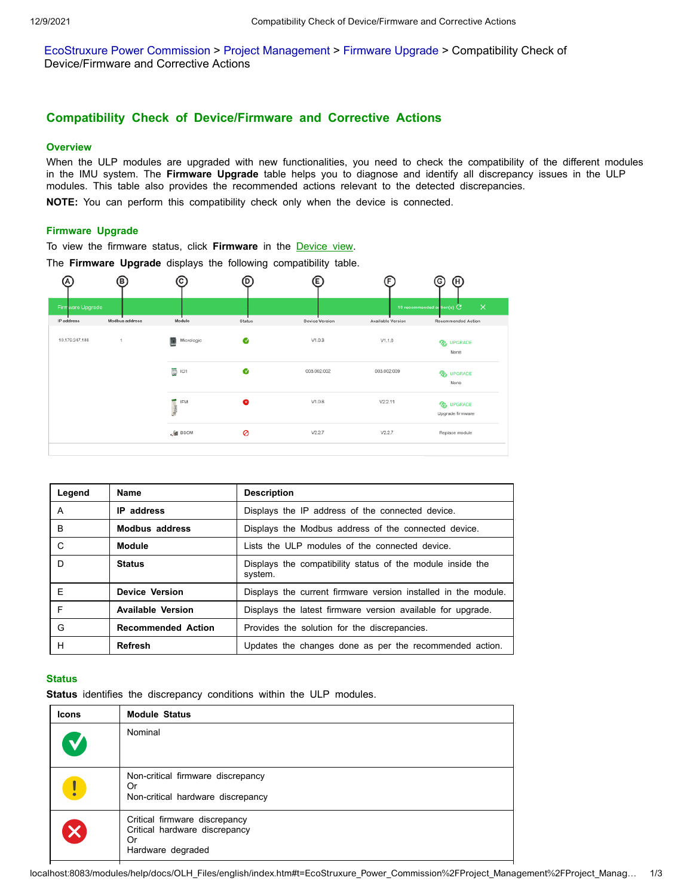EcoStruxure Power [Commission](http://localhost:8083/modules/help/docs/OLH_Files/english/EcoStruxure_Power_Commission/front/front-1.htm) > Project [Management](http://localhost:8083/modules/help/docs/OLH_Files/english/EcoStruxure_Power_Commission/Project_Management/Project_Management-1.htm) > [Firmware](http://localhost:8083/modules/help/docs/OLH_Files/english/EcoStruxure_Power_Commission/Project_Management/Project_Management-25.htm) Upgrade > Compatibility Check of Device/Firmware and Corrective Actions

# **Compatibility Check of Device/Firmware and Corrective Actions**

# **Overview**

When the ULP modules are upgraded with new functionalities, you need to check the compatibility of the different modules in the IMU system. The **Firmware Upgrade** table helps you to diagnose and identify all discrepancy issues in the ULP modules. This table also provides the recommended actions relevant to the detected discrepancies.

**NOTE:** You can perform this compatibility check only when the device is connected.

### **Firmware Upgrade**

To view the firmware status, click **Firmware** in the [Device view](http://localhost:8083/modules/help/docs/OLH_Files/english/EcoStruxure_Power_Commission/Ecoreach_Basics/Ecoreach_Basics-5.htm#XREF_D_SE_0059279_6).

The **Firmware Upgrade** displays the following compatibility table.



| Legend | <b>Name</b>               | <b>Description</b>                                                    |  |  |  |
|--------|---------------------------|-----------------------------------------------------------------------|--|--|--|
| A      | <b>IP</b> address         | Displays the IP address of the connected device.                      |  |  |  |
| B      | <b>Modbus address</b>     | Displays the Modbus address of the connected device.                  |  |  |  |
| C      | <b>Module</b>             | Lists the ULP modules of the connected device.                        |  |  |  |
| D      | <b>Status</b>             | Displays the compatibility status of the module inside the<br>system. |  |  |  |
| F      | <b>Device Version</b>     | Displays the current firmware version installed in the module.        |  |  |  |
| F      | <b>Available Version</b>  | Displays the latest firmware version available for upgrade.           |  |  |  |
| G      | <b>Recommended Action</b> | Provides the solution for the discrepancies.                          |  |  |  |
| н      | <b>Refresh</b>            | Updates the changes done as per the recommended action.               |  |  |  |

#### **Status**

**Status** identifies the discrepancy conditions within the ULP modules.

| <b>Icons</b> | <b>Module Status</b>                                                                      |
|--------------|-------------------------------------------------------------------------------------------|
| M            | Nominal                                                                                   |
| Ţ            | Non-critical firmware discrepancy<br>Or<br>Non-critical hardware discrepancy              |
| $\mathbf x$  | Critical firmware discrepancy<br>Critical hardware discrepancy<br>Or<br>Hardware degraded |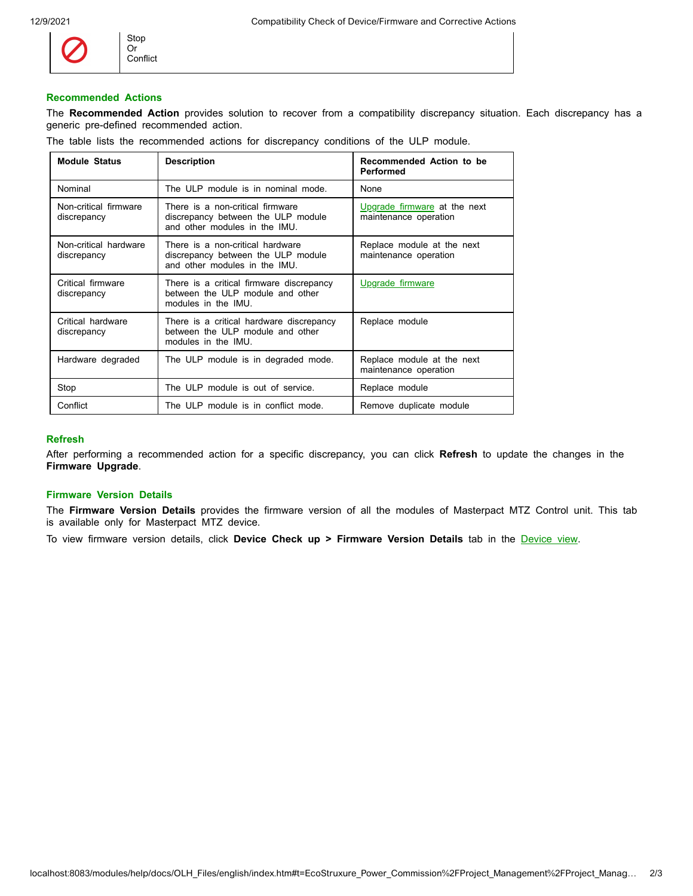

Stop Or Conflict

# **Recommended Actions**

The **Recommended Action** provides solution to recover from a compatibility discrepancy situation. Each discrepancy has a generic pre-defined recommended action.

| The table lists the recommended actions for discrepancy conditions of the ULP module. |  |
|---------------------------------------------------------------------------------------|--|
|---------------------------------------------------------------------------------------|--|

| <b>Module Status</b>                 | <b>Description</b>                                                                                      | Recommended Action to be<br>Performed                 |  |  |
|--------------------------------------|---------------------------------------------------------------------------------------------------------|-------------------------------------------------------|--|--|
| Nominal                              | The ULP module is in nominal mode.                                                                      | None                                                  |  |  |
| Non-critical firmware<br>discrepancy | There is a non-critical firmware<br>discrepancy between the ULP module<br>and other modules in the IMU. | Upgrade firmware at the next<br>maintenance operation |  |  |
| Non-critical hardware<br>discrepancy | There is a non-critical hardware<br>discrepancy between the ULP module<br>and other modules in the IMU. | Replace module at the next<br>maintenance operation   |  |  |
| Critical firmware<br>discrepancy     | There is a critical firmware discrepancy<br>between the ULP module and other<br>modules in the IMU.     | Upgrade firmware                                      |  |  |
| Critical hardware<br>discrepancy     | There is a critical hardware discrepancy<br>between the ULP module and other<br>modules in the IMU.     | Replace module                                        |  |  |
| Hardware degraded                    | The ULP module is in degraded mode.                                                                     | Replace module at the next<br>maintenance operation   |  |  |
| Stop                                 | The ULP module is out of service.                                                                       | Replace module                                        |  |  |
| Conflict                             | The ULP module is in conflict mode.                                                                     | Remove duplicate module                               |  |  |

#### **Refresh**

After performing a recommended action for a specific discrepancy, you can click **Refresh** to update the changes in the **Firmware Upgrade**.

# **Firmware Version Details**

The **Firmware Version Details** provides the firmware version of all the modules of Masterpact MTZ Control unit. This tab is available only for Masterpact MTZ device.

To view firmware version details, click **Device Check up > Firmware Version Details** tab in the [Device view](http://localhost:8083/modules/help/docs/OLH_Files/english/EcoStruxure_Power_Commission/Ecoreach_Basics/Ecoreach_Basics-5.htm#XREF_D_SE_0059279_6).